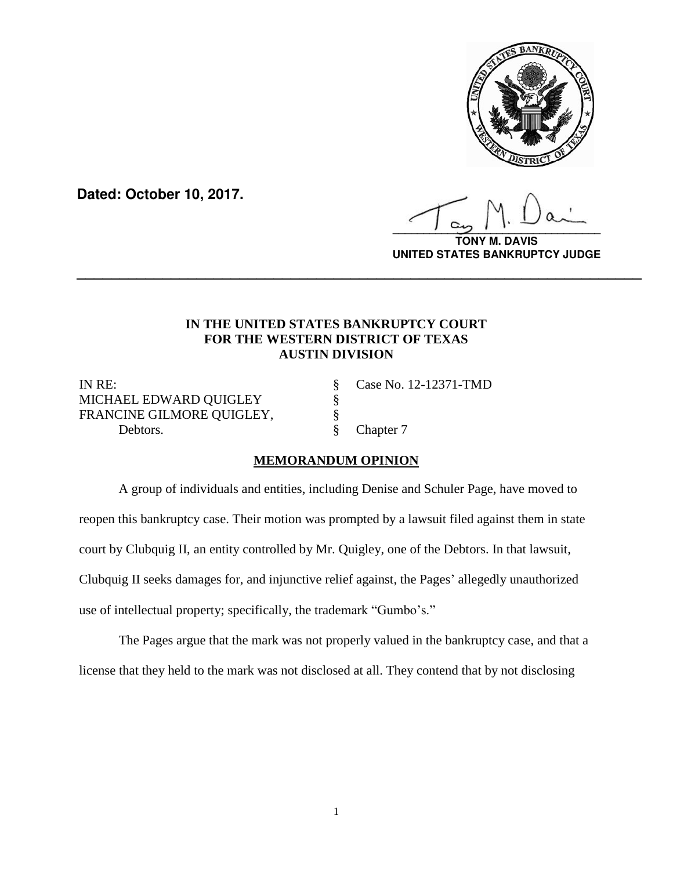

**Dated: October 10, 2017.**

**\_\_\_\_\_\_\_\_\_\_\_\_\_\_\_\_\_\_\_\_\_\_\_\_\_\_\_\_\_\_\_\_\_\_**

**TONY M. DAVIS UNITED STATES BANKRUPTCY JUDGE**

## **IN THE UNITED STATES BANKRUPTCY COURT FOR THE WESTERN DISTRICT OF TEXAS AUSTIN DIVISION**

**\_\_\_\_\_\_\_\_\_\_\_\_\_\_\_\_\_\_\_\_\_\_\_\_\_\_\_\_\_\_\_\_\_\_\_\_\_\_\_\_\_\_\_\_\_\_\_\_\_\_\_\_\_\_\_\_\_\_\_\_\_\_\_\_\_\_**

IN RE: § Case No. 12-12371-TMD MICHAEL EDWARD QUIGLEY **§** FRANCINE GILMORE QUIGLEY,  $§$ Debtors.  $\S$  Chapter 7

## **MEMORANDUM OPINION**

A group of individuals and entities, including Denise and Schuler Page, have moved to reopen this bankruptcy case. Their motion was prompted by a lawsuit filed against them in state court by Clubquig II, an entity controlled by Mr. Quigley, one of the Debtors. In that lawsuit, Clubquig II seeks damages for, and injunctive relief against, the Pages' allegedly unauthorized use of intellectual property; specifically, the trademark "Gumbo's."

The Pages argue that the mark was not properly valued in the bankruptcy case, and that a license that they held to the mark was not disclosed at all. They contend that by not disclosing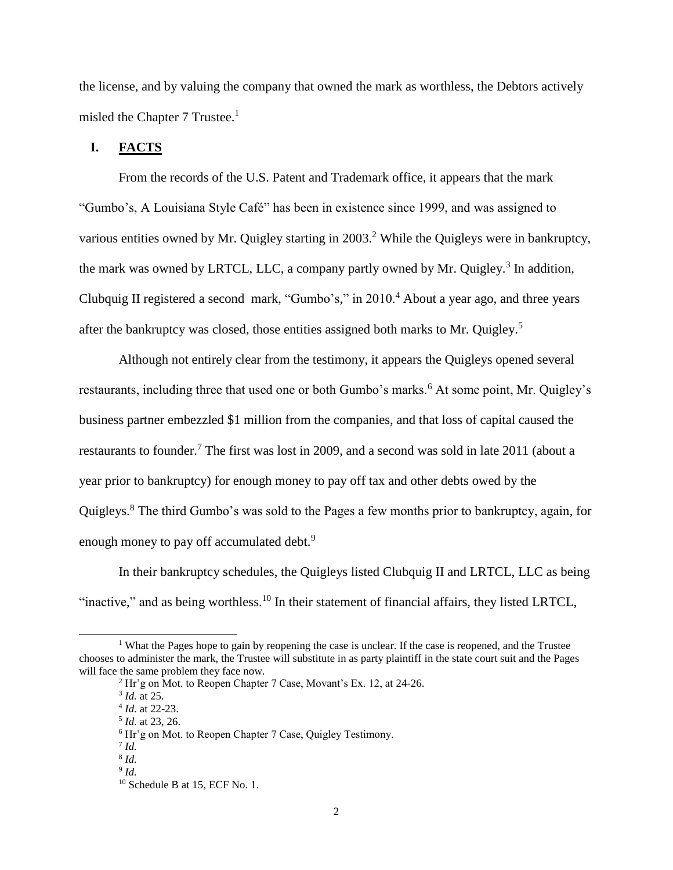the license, and by valuing the company that owned the mark as worthless, the Debtors actively misled the Chapter 7 Trustee. $<sup>1</sup>$ </sup>

# **I. FACTS**

From the records of the U.S. Patent and Trademark office, it appears that the mark "Gumbo's, A Louisiana Style Café" has been in existence since 1999, and was assigned to various entities owned by Mr. Quigley starting in 2003.<sup>2</sup> While the Quigleys were in bankruptcy, the mark was owned by LRTCL, LLC, a company partly owned by Mr. Quigley.<sup>3</sup> In addition, Clubquig II registered a second mark, "Gumbo's," in 2010.<sup>4</sup> About a year ago, and three years after the bankruptcy was closed, those entities assigned both marks to Mr. Quigley.<sup>5</sup>

Although not entirely clear from the testimony, it appears the Quigleys opened several restaurants, including three that used one or both Gumbo's marks.<sup>6</sup> At some point, Mr. Quigley's business partner embezzled \$1 million from the companies, and that loss of capital caused the restaurants to founder.<sup>7</sup> The first was lost in 2009, and a second was sold in late 2011 (about a year prior to bankruptcy) for enough money to pay off tax and other debts owed by the Quigleys.<sup>8</sup> The third Gumbo's was sold to the Pages a few months prior to bankruptcy, again, for enough money to pay off accumulated debt.<sup>9</sup>

In their bankruptcy schedules, the Quigleys listed Clubquig II and LRTCL, LLC as being "inactive," and as being worthless.<sup>10</sup> In their statement of financial affairs, they listed LRTCL,

 $\overline{a}$ 

<sup>&</sup>lt;sup>1</sup> What the Pages hope to gain by reopening the case is unclear. If the case is reopened, and the Trustee chooses to administer the mark, the Trustee will substitute in as party plaintiff in the state court suit and the Pages will face the same problem they face now.

<sup>2</sup> Hr'g on Mot. to Reopen Chapter 7 Case, Movant's Ex. 12, at 24-26.

<sup>3</sup> *Id.* at 25.

<sup>4</sup> *Id.* at 22-23.

<sup>5</sup> *Id.* at 23, 26.

<sup>6</sup> Hr'g on Mot. to Reopen Chapter 7 Case, Quigley Testimony.

<sup>7</sup> *Id.*

<sup>8</sup> *Id.*

<sup>9</sup> *Id.*

<sup>&</sup>lt;sup>10</sup> Schedule B at 15, ECF No. 1.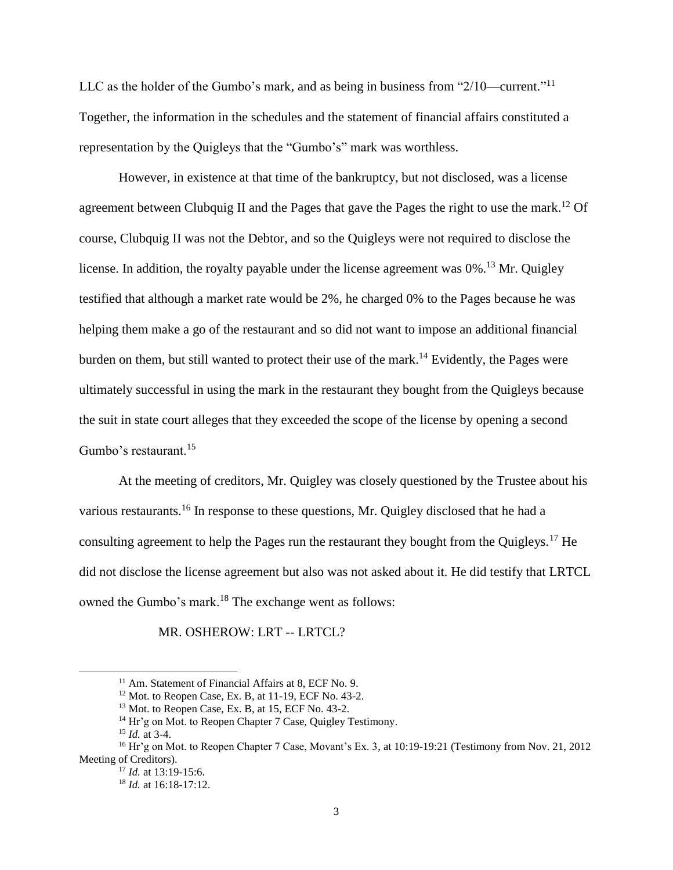LLC as the holder of the Gumbo's mark, and as being in business from "2/10—current."<sup>11</sup> Together, the information in the schedules and the statement of financial affairs constituted a representation by the Quigleys that the "Gumbo's" mark was worthless.

However, in existence at that time of the bankruptcy, but not disclosed, was a license agreement between Clubquig II and the Pages that gave the Pages the right to use the mark.<sup>12</sup> Of course, Clubquig II was not the Debtor, and so the Quigleys were not required to disclose the license. In addition, the royalty payable under the license agreement was 0%.<sup>13</sup> Mr. Quigley testified that although a market rate would be 2%, he charged 0% to the Pages because he was helping them make a go of the restaurant and so did not want to impose an additional financial burden on them, but still wanted to protect their use of the mark.<sup>14</sup> Evidently, the Pages were ultimately successful in using the mark in the restaurant they bought from the Quigleys because the suit in state court alleges that they exceeded the scope of the license by opening a second Gumbo's restaurant.<sup>15</sup>

At the meeting of creditors, Mr. Quigley was closely questioned by the Trustee about his various restaurants.<sup>16</sup> In response to these questions, Mr. Quigley disclosed that he had a consulting agreement to help the Pages run the restaurant they bought from the Quigleys.<sup>17</sup> He did not disclose the license agreement but also was not asked about it. He did testify that LRTCL owned the Gumbo's mark.<sup>18</sup> The exchange went as follows:

MR. OSHEROW: LRT -- LRTCL?

l

<sup>&</sup>lt;sup>11</sup> Am. Statement of Financial Affairs at 8, ECF No. 9.

 $12$  Mot. to Reopen Case, Ex. B, at 11-19, ECF No. 43-2.

 $13$  Mot. to Reopen Case, Ex. B, at 15, ECF No. 43-2.

<sup>&</sup>lt;sup>14</sup> Hr'g on Mot. to Reopen Chapter 7 Case, Quigley Testimony.

<sup>15</sup> *Id.* at 3-4.

<sup>&</sup>lt;sup>16</sup> Hr'g on Mot. to Reopen Chapter 7 Case, Movant's Ex. 3, at 10:19-19:21 (Testimony from Nov. 21, 2012) Meeting of Creditors).

<sup>17</sup> *Id.* at 13:19-15:6.

<sup>18</sup> *Id.* at 16:18-17:12.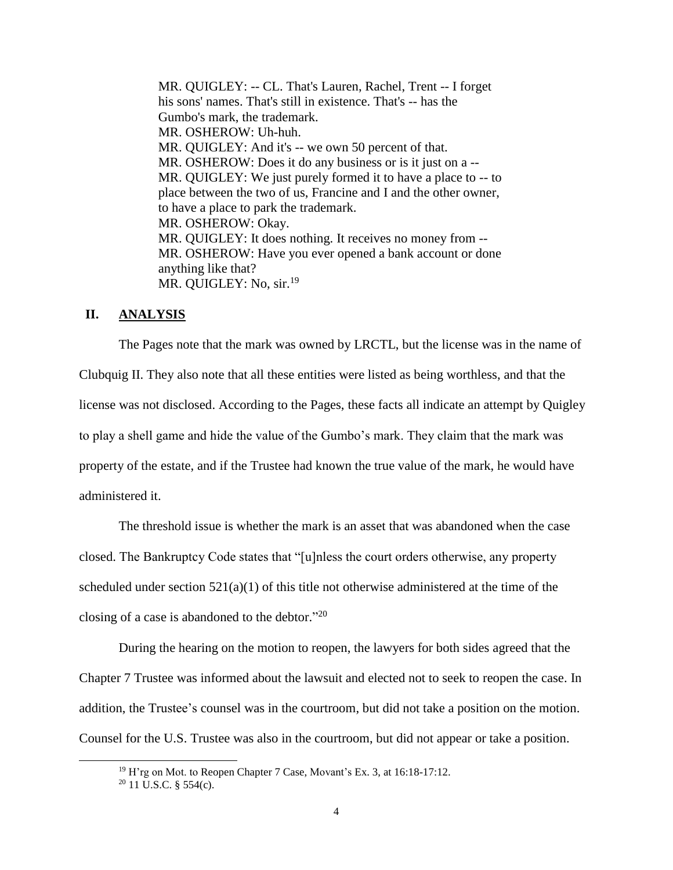MR. QUIGLEY: -- CL. That's Lauren, Rachel, Trent -- I forget his sons' names. That's still in existence. That's -- has the Gumbo's mark, the trademark. MR. OSHEROW: Uh-huh. MR. QUIGLEY: And it's -- we own 50 percent of that. MR. OSHEROW: Does it do any business or is it just on a --MR. QUIGLEY: We just purely formed it to have a place to -- to place between the two of us, Francine and I and the other owner, to have a place to park the trademark. MR. OSHEROW: Okay. MR. QUIGLEY: It does nothing. It receives no money from -- MR. OSHEROW: Have you ever opened a bank account or done anything like that? MR. QUIGLEY: No, sir.<sup>19</sup>

### **II. ANALYSIS**

The Pages note that the mark was owned by LRCTL, but the license was in the name of Clubquig II. They also note that all these entities were listed as being worthless, and that the license was not disclosed. According to the Pages, these facts all indicate an attempt by Quigley to play a shell game and hide the value of the Gumbo's mark. They claim that the mark was property of the estate, and if the Trustee had known the true value of the mark, he would have administered it.

The threshold issue is whether the mark is an asset that was abandoned when the case closed. The Bankruptcy Code states that "[u]nless the court orders otherwise, any property scheduled under section 521(a)(1) of this title not otherwise administered at the time of the closing of a case is abandoned to the debtor." $^{20}$ 

During the hearing on the motion to reopen, the lawyers for both sides agreed that the Chapter 7 Trustee was informed about the lawsuit and elected not to seek to reopen the case. In addition, the Trustee's counsel was in the courtroom, but did not take a position on the motion. Counsel for the U.S. Trustee was also in the courtroom, but did not appear or take a position.

 $\overline{a}$ 

 $19$  H'rg on Mot. to Reopen Chapter 7 Case, Movant's Ex. 3, at 16:18-17:12.

 $20$  11 U.S.C. § 554(c).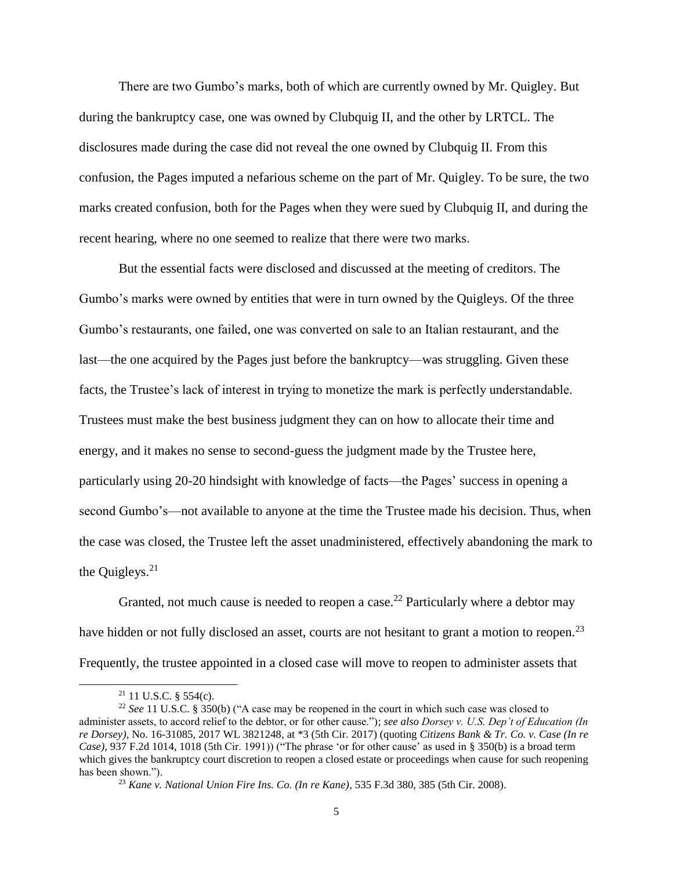There are two Gumbo's marks, both of which are currently owned by Mr. Quigley. But during the bankruptcy case, one was owned by Clubquig II, and the other by LRTCL. The disclosures made during the case did not reveal the one owned by Clubquig II. From this confusion, the Pages imputed a nefarious scheme on the part of Mr. Quigley. To be sure, the two marks created confusion, both for the Pages when they were sued by Clubquig II, and during the recent hearing, where no one seemed to realize that there were two marks.

But the essential facts were disclosed and discussed at the meeting of creditors. The Gumbo's marks were owned by entities that were in turn owned by the Quigleys. Of the three Gumbo's restaurants, one failed, one was converted on sale to an Italian restaurant, and the last—the one acquired by the Pages just before the bankruptcy—was struggling. Given these facts, the Trustee's lack of interest in trying to monetize the mark is perfectly understandable. Trustees must make the best business judgment they can on how to allocate their time and energy, and it makes no sense to second-guess the judgment made by the Trustee here, particularly using 20-20 hindsight with knowledge of facts—the Pages' success in opening a second Gumbo's—not available to anyone at the time the Trustee made his decision. Thus, when the case was closed, the Trustee left the asset unadministered, effectively abandoning the mark to the Quigleys. $21$ 

Granted, not much cause is needed to reopen a case.<sup>22</sup> Particularly where a debtor may have hidden or not fully disclosed an asset, courts are not hesitant to grant a motion to reopen.<sup>23</sup> Frequently, the trustee appointed in a closed case will move to reopen to administer assets that

 $\overline{a}$ 

 $21$  11 U.S.C. § 554(c).

<sup>22</sup> *See* 11 U.S.C. § 350(b) ("A case may be reopened in the court in which such case was closed to administer assets, to accord relief to the debtor, or for other cause."); *see also Dorsey v. U.S. Dep't of Education (In re Dorsey)*, No. 16-31085, 2017 WL 3821248, at \*3 (5th Cir. 2017) (quoting *Citizens Bank & Tr. Co. v. Case (In re Case)*, 937 F.2d 1014, 1018 (5th Cir. 1991)) ("The phrase 'or for other cause' as used in § 350(b) is a broad term which gives the bankruptcy court discretion to reopen a closed estate or proceedings when cause for such reopening has been shown.").

<sup>23</sup> *Kane v. National Union Fire Ins. Co. (In re Kane)*, 535 F.3d 380, 385 (5th Cir. 2008).